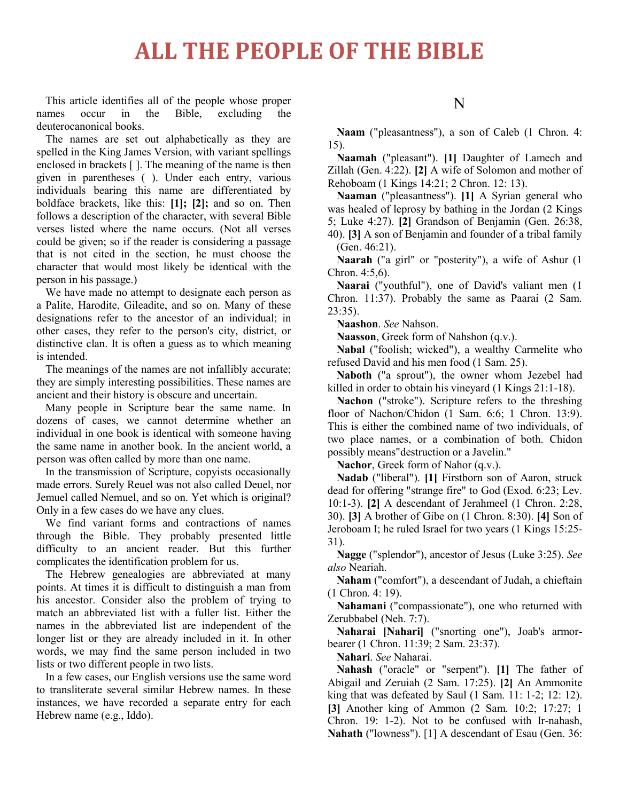## **ALL THE PEOPLE OF THE BIBLE**

This article identifies all of the people whose proper names occur in the Bible, excluding the deuterocanonical books.

The names are set out alphabetically as they are spelled in the King James Version, with variant spellings enclosed in brackets [ ]. The meaning of the name is then given in parentheses ( ). Under each entry, various individuals bearing this name are differentiated by boldface brackets, like this: **[1]; [2];** and so on. Then follows a description of the character, with several Bible verses listed where the name occurs. (Not all verses could be given; so if the reader is considering a passage that is not cited in the section, he must choose the character that would most likely be identical with the person in his passage.)

We have made no attempt to designate each person as a Palite, Harodite, Gileadite, and so on. Many of these designations refer to the ancestor of an individual; in other cases, they refer to the person's city, district, or distinctive clan. It is often a guess as to which meaning is intended.

The meanings of the names are not infallibly accurate; they are simply interesting possibilities. These names are ancient and their history is obscure and uncertain.

Many people in Scripture bear the same name. In dozens of cases, we cannot determine whether an individual in one book is identical with someone having the same name in another book. In the ancient world, a person was often called by more than one name.

In the transmission of Scripture, copyists occasionally made errors. Surely Reuel was not also called Deuel, nor Jemuel called Nemuel, and so on. Yet which is original? Only in a few cases do we have any clues.

We find variant forms and contractions of names through the Bible. They probably presented little difficulty to an ancient reader. But this further complicates the identification problem for us.

The Hebrew genealogies are abbreviated at many points. At times it is difficult to distinguish a man from his ancestor. Consider also the problem of trying to match an abbreviated list with a fuller list. Either the names in the abbreviated list are independent of the longer list or they are already included in it. In other words, we may find the same person included in two lists or two different people in two lists.

In a few cases, our English versions use the same word to transliterate several similar Hebrew names. In these instances, we have recorded a separate entry for each Hebrew name (e.g., Iddo).

#### N

**Naam** ("pleasantness"), a son of Caleb (1 Chron. 4: 15).

**Naamah** ("pleasant"). **[1]** Daughter of Lamech and Zillah (Gen. 4:22). **[2]** A wife of Solomon and mother of Rehoboam (1 Kings 14:21; 2 Chron. 12: 13).

**Naaman** ("pleasantness"). **[1]** A Syrian general who was healed of leprosy by bathing in the Jordan (2 Kings 5; Luke 4:27). **[2]** Grandson of Benjamin (Gen. 26:38, 40). **[3]** A son of Benjamin and founder of a tribal family (Gen. 46:21).

**Naarah** ("a girl" or "posterity"), a wife of Ashur (1 Chron. 4:5,6).

**Naarai** ("youthful"), one of David's valiant men (1 Chron. 11:37). Probably the same as Paarai (2 Sam. 23:35).

**Naashon**. *See* Nahson.

**Naasson**, Greek form of Nahshon (q.v.).

**Nabal** ("foolish; wicked"), a wealthy Carmelite who refused David and his men food (1 Sam. 25).

**Naboth** ("a sprout"), the owner whom Jezebel had killed in order to obtain his vineyard (1 Kings 21:1-18).

**Nachon** ("stroke"). Scripture refers to the threshing floor of Nachon/Chidon (1 Sam. 6:6; 1 Chron. 13:9). This is either the combined name of two individuals, of two place names, or a combination of both. Chidon possibly means"destruction or a Javelin."

**Nachor**, Greek form of Nahor (q.v.).

**Nadab** ("liberal"). **[1]** Firstborn son of Aaron, struck dead for offering "strange fire" to God (Exod. 6:23; Lev. 10:1-3). **[2]** A descendant of Jerahmeel (1 Chron. 2:28, 30). **[3]** A brother of Gibe on (1 Chron. 8:30). **[4]** Son of Jeroboam I; he ruled Israel for two years (1 Kings 15:25- 31).

**Nagge** ("splendor"), ancestor of Jesus (Luke 3:25). *See also* Neariah.

**Naham** ("comfort"), a descendant of Judah, a chieftain (1 Chron. 4: 19).

**Nahamani** ("compassionate"), one who returned with Zerubbabel (Neh. 7:7).

**Naharai [Nahari]** ("snorting one"), Joab's armorbearer (1 Chron. 11:39; 2 Sam. 23:37).

**Nahari**. *See* Naharai.

**Nahash** ("oracle" or "serpent"). **[1]** The father of Abigail and Zeruiah (2 Sam. 17:25). **[2]** An Ammonite king that was defeated by Saul (1 Sam. 11: 1-2; 12: 12). **[3]** Another king of Ammon (2 Sam. 10:2; 17:27; 1 Chron. 19: 1-2). Not to be confused with Ir-nahash, **Nahath** ("lowness"). [1] A descendant of Esau (Gen. 36: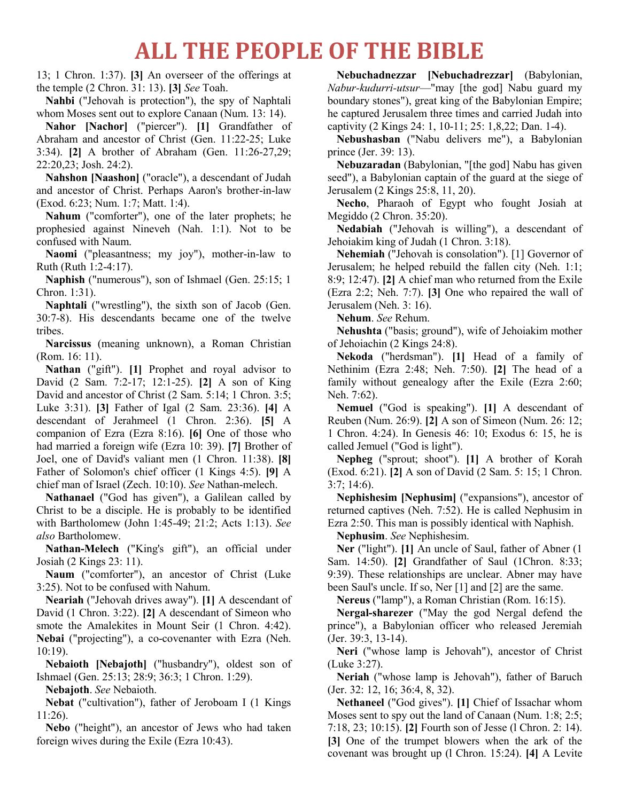### **ALL THE PEOPLE OF THE BIBLE**

13; 1 Chron. 1:37). **[3]** An overseer of the offerings at the temple (2 Chron. 31: 13). **[3]** *See* Toah.

**Nahbi** ("Jehovah is protection"), the spy of Naphtali whom Moses sent out to explore Canaan (Num. 13: 14).

**Nahor [Nachor]** ("piercer"). **[1]** Grandfather of Abraham and ancestor of Christ (Gen. 11:22-25; Luke 3:34). **[2]** A brother of Abraham (Gen. 11:26-27,29; 22:20,23; Josh. 24:2).

**Nahshon [Naashon]** ("oracle"), a descendant of Judah and ancestor of Christ. Perhaps Aaron's brother-in-law (Exod. 6:23; Num. 1:7; Matt. 1:4).

**Nahum** ("comforter"), one of the later prophets; he prophesied against Nineveh (Nah. 1:1). Not to be confused with Naum.

**Naomi** ("pleasantness; my joy"), mother-in-law to Ruth (Ruth 1:2-4:17).

**Naphish** ("numerous"), son of Ishmael (Gen. 25:15; 1 Chron. 1:31).

**Naphtali** ("wrestling"), the sixth son of Jacob (Gen. 30:7-8). His descendants became one of the twelve tribes.

**Narcissus** (meaning unknown), a Roman Christian (Rom. 16: 11).

**Nathan** ("gift"). **[1]** Prophet and royal advisor to David (2 Sam. 7:2-17; 12:1-25). **[2]** A son of King David and ancestor of Christ (2 Sam. 5:14; 1 Chron. 3:5; Luke 3:31). **[3]** Father of Igal (2 Sam. 23:36). **[4]** A descendant of Jerahmeel (1 Chron. 2:36). **[5]** A companion of Ezra (Ezra 8:16). **[6]** One of those who had married a foreign wife (Ezra 10: 39). **[7]** Brother of Joel, one of David's valiant men (1 Chron. 11:38). **[8]** Father of Solomon's chief officer (1 Kings 4:5). **[9]** A chief man of Israel (Zech. 10:10). *See* Nathan-melech.

**Nathanael** ("God has given"), a Galilean called by Christ to be a disciple. He is probably to be identified with Bartholomew (John 1:45-49; 21:2; Acts 1:13). *See also* Bartholomew.

**Nathan-Melech** ("King's gift"), an official under Josiah (2 Kings 23: 11).

**Naum** ("comforter"), an ancestor of Christ (Luke 3:25). Not to be confused with Nahum.

**Neariah** ("Jehovah drives away''). **[1]** A descendant of David (1 Chron. 3:22). **[2]** A descendant of Simeon who smote the Amalekites in Mount Seir (1 Chron. 4:42). **Nebai** ("projecting"), a co-covenanter with Ezra (Neh. 10:19).

**Nebaioth [Nebajoth]** ("husbandry"), oldest son of Ishmael (Gen. 25:13; 28:9; 36:3; 1 Chron. 1:29).

**Nebajoth**. *See* Nebaioth.

**Nebat** ("cultivation"), father of Jeroboam I (1 Kings 11:26).

**Nebo** ("height"), an ancestor of Jews who had taken foreign wives during the Exile (Ezra 10:43).

**Nebuchadnezzar [Nebuchadrezzar]** (Babylonian, *Nabur-kudurri-utsur*—"may [the god] Nabu guard my boundary stones"), great king of the Babylonian Empire; he captured Jerusalem three times and carried Judah into captivity (2 Kings 24: 1, 10-11; 25: 1,8,22; Dan. 1-4).

**Nebushasban** ("Nabu delivers me"), a Babylonian prince (Jer. 39: 13).

**Nebuzaradan** (Babylonian, "[the god] Nabu has given seed"), a Babylonian captain of the guard at the siege of Jerusalem (2 Kings 25:8, 11, 20).

**Necho**, Pharaoh of Egypt who fought Josiah at Megiddo (2 Chron. 35:20).

**Nedabiah** ("Jehovah is willing"), a descendant of Jehoiakim king of Judah (1 Chron. 3:18).

**Nehemiah** ("Jehovah is consolation"). [1] Governor of Jerusalem; he helped rebuild the fallen city (Neh. 1:1; 8:9; 12:47). **[2]** A chief man who returned from the Exile (Ezra 2:2; Neh. 7:7). **[3]** One who repaired the wall of Jerusalem (Neh. 3: 16).

**Nehum**. *See* Rehum.

**Nehushta** ("basis; ground"), wife of Jehoiakim mother of Jehoiachin (2 Kings 24:8).

**Nekoda** ("herdsman"). **[1]** Head of a family of Nethinim (Ezra 2:48; Neh. 7:50). **[2]** The head of a family without genealogy after the Exile (Ezra 2:60; Neh. 7:62).

**Nemuel** ("God is speaking"). **[1]** A descendant of Reuben (Num. 26:9). **[2]** A son of Simeon (Num. 26: 12; 1 Chron. 4:24). In Genesis 46: 10; Exodus 6: 15, he is called Jemuel ("God is light").

**Nepheg** ("sprout; shoot"). **[1]** A brother of Korah (Exod. 6:21). **[2]** A son of David (2 Sam. 5: 15; 1 Chron. 3:7; 14:6).

**Nephishesim [Nephusim]** ("expansions"), ancestor of returned captives (Neh. 7:52). He is called Nephusim in Ezra 2:50. This man is possibly identical with Naphish.

**Nephusim**. *See* Nephishesim.

**Ner** ("light"). **[1]** An uncle of Saul, father of Abner (1 Sam. 14:50). **[2]** Grandfather of Saul (1Chron. 8:33; 9:39). These relationships are unclear. Abner may have been Saul's uncle. If so, Ner [1] and [2] are the same.

**Nereus** ("lamp"), a Roman Christian (Rom. 16:15).

**Nergal-sharezer** ("May the god Nergal defend the prince"), a Babylonian officer who released Jeremiah (Jer. 39:3, 13-14).

**Neri** ("whose lamp is Jehovah"), ancestor of Christ (Luke 3:27).

**Neriah** ("whose lamp is Jehovah"), father of Baruch (Jer. 32: 12, 16; 36:4, 8, 32).

**Nethaneel** ("God gives"). **[1]** Chief of Issachar whom Moses sent to spy out the land of Canaan (Num. 1:8; 2:5; 7:18, 23; 10:15). **[2]** Fourth son of Jesse (l Chron. 2: 14). **[3]** One of the trumpet blowers when the ark of the covenant was brought up (l Chron. 15:24). **[4]** A Levite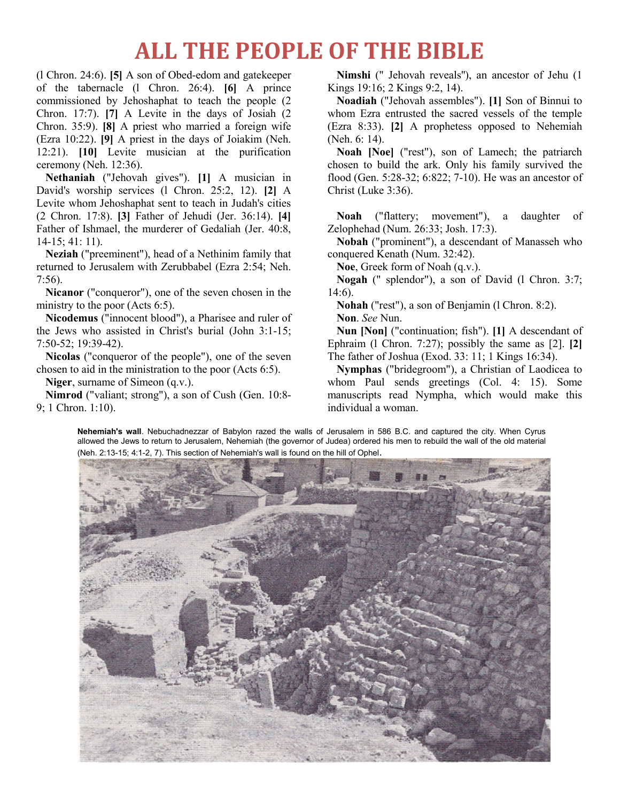## **ALL THE PEOPLE OF THE BIBLE**

(l Chron. 24:6). **[5]** A son of Obed-edom and gatekeeper of the tabernacle (l Chron. 26:4). **[6]** A prince commissioned by Jehoshaphat to teach the people (2 Chron. 17:7). **[7]** A Levite in the days of Josiah (2 Chron. 35:9). **[8]** A priest who married a foreign wife (Ezra 10:22). **[9]** A priest in the days of Joiakim (Neh. 12:21). **[10]** Levite musician at the purification ceremony (Neh. 12:36).

**Nethaniah** ("Jehovah gives"). **[1]** A musician in David's worship services (l Chron. 25:2, 12). **[2]** A Levite whom Jehoshaphat sent to teach in Judah's cities (2 Chron. 17:8). **[3]** Father of Jehudi (Jer. 36:14). **[4]** Father of Ishmael, the murderer of Gedaliah (Jer. 40:8, 14-15; 41: 11).

**Neziah** ("preeminent"), head of a Nethinim family that returned to Jerusalem with Zerubbabel (Ezra 2:54; Neh. 7:56).

**Nicanor** ("conqueror"), one of the seven chosen in the ministry to the poor (Acts 6:5).

**Nicodemus** ("innocent blood"), a Pharisee and ruler of the Jews who assisted in Christ's burial (John 3:1-15; 7:50-52; 19:39-42).

**Nicolas** ("conqueror of the people"), one of the seven chosen to aid in the ministration to the poor (Acts 6:5).

**Niger**, surname of Simeon (q.v.).

**Nimrod** ("valiant; strong"), a son of Cush (Gen. 10:8- 9; 1 Chron. 1:10).

**Nimshi** (" Jehovah reveals''), an ancestor of Jehu (1 Kings 19:16; 2 Kings 9:2, 14).

**Noadiah** ("Jehovah assembles"). **[1]** Son of Binnui to whom Ezra entrusted the sacred vessels of the temple (Ezra 8:33). **[2]** A prophetess opposed to Nehemiah (Neh. 6: 14).

**Noah [Noe]** ("rest"), son of Lamech; the patriarch chosen to build the ark. Only his family survived the flood (Gen. 5:28-32; 6:822; 7-10). He was an ancestor of Christ (Luke 3:36).

**Noah** ("flattery; movement"), a daughter of Zelophehad (Num. 26:33; Josh. 17:3).

**Nobah** ("prominent"), a descendant of Manasseh who conquered Kenath (Num. 32:42).

**Noe**, Greek form of Noah (q.v.).

**Nogah** (" splendor"), a son of David (l Chron. 3:7; 14:6).

**Nohah** ("rest"), a son of Benjamin (l Chron. 8:2).

**Non**. *See* Nun.

**Nun [Non]** ("continuation; fish"). **[1]** A descendant of Ephraim (l Chron. 7:27); possibly the same as [2]. **[2]** The father of Joshua (Exod. 33: 11; 1 Kings 16:34).

**Nymphas** ("bridegroom"), a Christian of Laodicea to whom Paul sends greetings (Col. 4: 15). Some manuscripts read Nympha, which would make this individual a woman.

**Nehemiah's wall**. Nebuchadnezzar of Babylon razed the walls of Jerusalem in 586 B.C. and captured the city. When Cyrus allowed the Jews to return to Jerusalem, Nehemiah (the governor of Judea) ordered his men to rebuild the wall of the old material (Neh. 2:13-15; 4:1-2, 7). This section of Nehemiah's wall is found on the hill of Ophel.